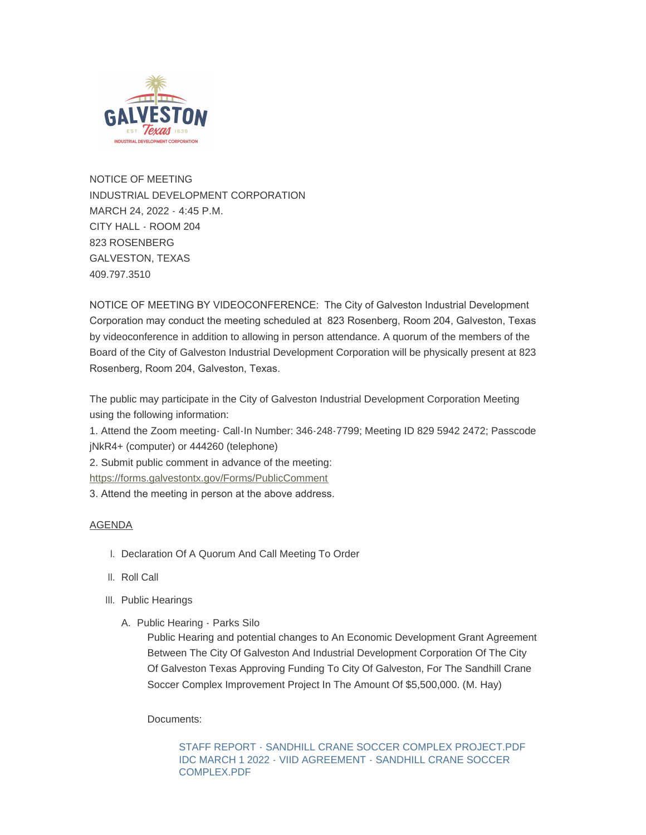

NOTICE OF MEETING INDUSTRIAL DEVELOPMENT CORPORATION MARCH 24, 2022 - 4:45 P.M. CITY HALL - ROOM 204 823 ROSENBERG GALVESTON, TEXAS 409.797.3510

NOTICE OF MEETING BY VIDEOCONFERENCE: The City of Galveston Industrial Development Corporation may conduct the meeting scheduled at 823 Rosenberg, Room 204, Galveston, Texas by videoconference in addition to allowing in person attendance. A quorum of the members of the Board of the City of Galveston Industrial Development Corporation will be physically present at 823 Rosenberg, Room 204, Galveston, Texas.

The public may participate in the City of Galveston Industrial Development Corporation Meeting using the following information:

1. Attend the Zoom meeting- Call-In Number: 346-248-7799; Meeting ID 829 5942 2472; Passcode jNkR4+ (computer) or 444260 (telephone)

[2. Submit public comment in advance of the meeting](https://forms.galvestontx.gov/Forms/PublicComment):

https://forms.galvestontx.gov/Forms/PublicComment

3. Attend the meeting in person at the above address.

## AGENDA

- I. Declaration Of A Quorum And Call Meeting To Order
- II. Roll Call
- III. Public Hearings
	- A. Public Hearing Parks Silo

Public Hearing and potential changes to An Economic Development Grant Agreement Between The City Of Galveston And Industrial Development Corporation Of The City Of Galveston Texas Approving Funding To City Of Galveston, For The Sandhill Crane Soccer Complex Improvement Project In The Amount Of \$5,500,000. (M. Hay)

Documents:

[STAFF REPORT - SANDHILL CRANE SOCCER COMPLEX PROJECT.PDF](https://www.galvestontx.gov/AgendaCenter/ViewFile/Item/13885?fileID=32375) [IDC MARCH 1 2022 - VIID AGREEMENT - SANDHILL CRANE SOCCER](https://www.galvestontx.gov/AgendaCenter/ViewFile/Item/13885?fileID=32441)  COMPLEX.PDF